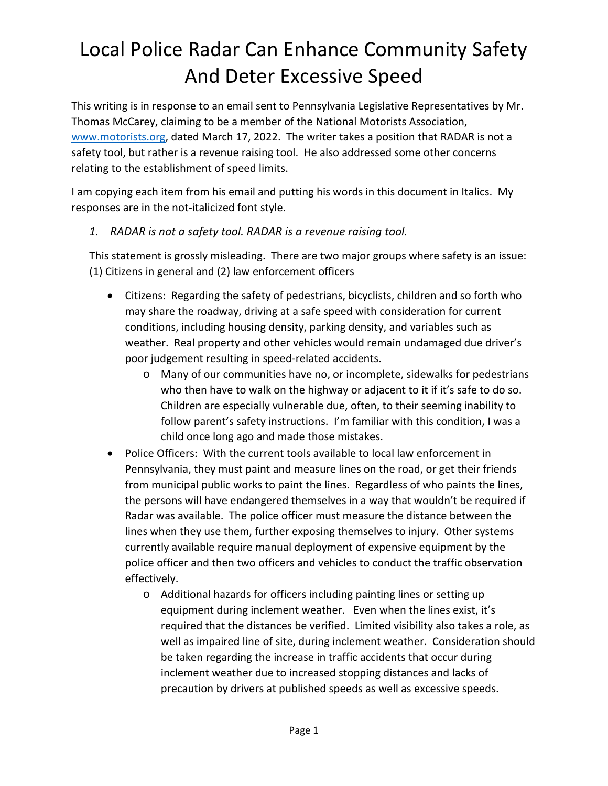This writing is in response to an email sent to Pennsylvania Legislative Representatives by Mr. Thomas McCarey, claiming to be a member of the National Motorists Association, www.motorists.org, dated March 17, 2022. The writer takes a position that RADAR is not a safety tool, but rather is a revenue raising tool. He also addressed some other concerns relating to the establishment of speed limits.

I am copying each item from his email and putting his words in this document in Italics. My responses are in the not-italicized font style.

#### *1. RADAR is not a safety tool. RADAR is a revenue raising tool.*

This statement is grossly misleading. There are two major groups where safety is an issue: (1) Citizens in general and (2) law enforcement officers

- Citizens: Regarding the safety of pedestrians, bicyclists, children and so forth who may share the roadway, driving at a safe speed with consideration for current conditions, including housing density, parking density, and variables such as weather. Real property and other vehicles would remain undamaged due driver's poor judgement resulting in speed-related accidents.
	- o Many of our communities have no, or incomplete, sidewalks for pedestrians who then have to walk on the highway or adjacent to it if it's safe to do so. Children are especially vulnerable due, often, to their seeming inability to follow parent's safety instructions. I'm familiar with this condition, I was a child once long ago and made those mistakes.
- Police Officers: With the current tools available to local law enforcement in Pennsylvania, they must paint and measure lines on the road, or get their friends from municipal public works to paint the lines. Regardless of who paints the lines, the persons will have endangered themselves in a way that wouldn't be required if Radar was available. The police officer must measure the distance between the lines when they use them, further exposing themselves to injury. Other systems currently available require manual deployment of expensive equipment by the police officer and then two officers and vehicles to conduct the traffic observation effectively.
	- o Additional hazards for officers including painting lines or setting up equipment during inclement weather. Even when the lines exist, it's required that the distances be verified. Limited visibility also takes a role, as well as impaired line of site, during inclement weather. Consideration should be taken regarding the increase in traffic accidents that occur during inclement weather due to increased stopping distances and lacks of precaution by drivers at published speeds as well as excessive speeds.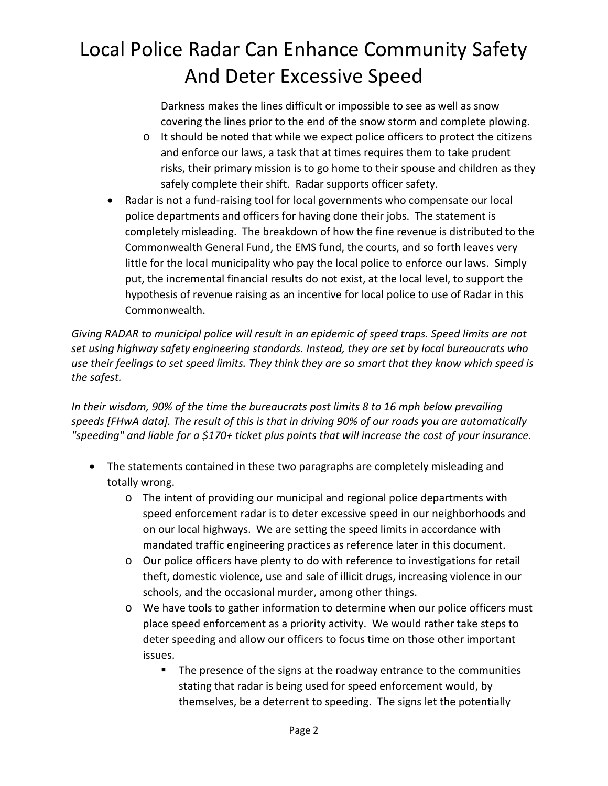Darkness makes the lines difficult or impossible to see as well as snow covering the lines prior to the end of the snow storm and complete plowing.

- $\circ$  It should be noted that while we expect police officers to protect the citizens and enforce our laws, a task that at times requires them to take prudent risks, their primary mission is to go home to their spouse and children as they safely complete their shift. Radar supports officer safety.
- Radar is not a fund-raising tool for local governments who compensate our local police departments and officers for having done their jobs. The statement is completely misleading. The breakdown of how the fine revenue is distributed to the Commonwealth General Fund, the EMS fund, the courts, and so forth leaves very little for the local municipality who pay the local police to enforce our laws. Simply put, the incremental financial results do not exist, at the local level, to support the hypothesis of revenue raising as an incentive for local police to use of Radar in this Commonwealth.

*Giving RADAR to municipal police will result in an epidemic of speed traps. Speed limits are not set using highway safety engineering standards. Instead, they are set by local bureaucrats who use their feelings to set speed limits. They think they are so smart that they know which speed is the safest.*

*In their wisdom, 90% of the time the bureaucrats post limits 8 to 16 mph below prevailing speeds [FHwA data]. The result of this is that in driving 90% of our roads you are automatically "speeding" and liable for a \$170+ ticket plus points that will increase the cost of your insurance.*

- The statements contained in these two paragraphs are completely misleading and totally wrong.
	- $\circ$  The intent of providing our municipal and regional police departments with speed enforcement radar is to deter excessive speed in our neighborhoods and on our local highways. We are setting the speed limits in accordance with mandated traffic engineering practices as reference later in this document.
	- o Our police officers have plenty to do with reference to investigations for retail theft, domestic violence, use and sale of illicit drugs, increasing violence in our schools, and the occasional murder, among other things.
	- o We have tools to gather information to determine when our police officers must place speed enforcement as a priority activity. We would rather take steps to deter speeding and allow our officers to focus time on those other important issues.
		- **The presence of the signs at the roadway entrance to the communities** stating that radar is being used for speed enforcement would, by themselves, be a deterrent to speeding. The signs let the potentially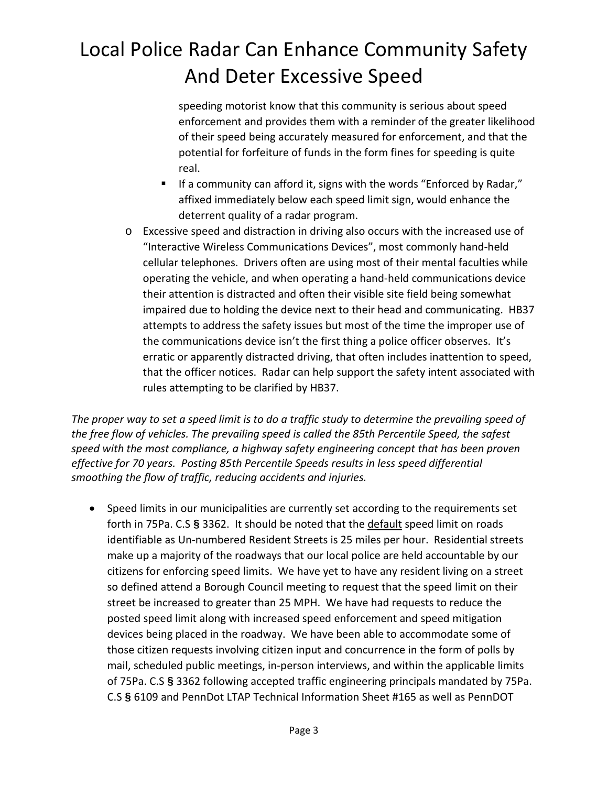speeding motorist know that this community is serious about speed enforcement and provides them with a reminder of the greater likelihood of their speed being accurately measured for enforcement, and that the potential for forfeiture of funds in the form fines for speeding is quite real.

- If a community can afford it, signs with the words "Enforced by Radar," affixed immediately below each speed limit sign, would enhance the deterrent quality of a radar program.
- o Excessive speed and distraction in driving also occurs with the increased use of "Interactive Wireless Communications Devices", most commonly hand-held cellular telephones. Drivers often are using most of their mental faculties while operating the vehicle, and when operating a hand-held communications device their attention is distracted and often their visible site field being somewhat impaired due to holding the device next to their head and communicating. HB37 attempts to address the safety issues but most of the time the improper use of the communications device isn't the first thing a police officer observes. It's erratic or apparently distracted driving, that often includes inattention to speed, that the officer notices. Radar can help support the safety intent associated with rules attempting to be clarified by HB37.

*The proper way to set a speed limit is to do a traffic study to determine the prevailing speed of the free flow of vehicles. The prevailing speed is called the 85th Percentile Speed, the safest speed with the most compliance, a highway safety engineering concept that has been proven effective for 70 years. Posting 85th Percentile Speeds results in less speed differential smoothing the flow of traffic, reducing accidents and injuries.*

 Speed limits in our municipalities are currently set according to the requirements set forth in 75Pa. C.S **§** 3362. It should be noted that the default speed limit on roads identifiable as Un-numbered Resident Streets is 25 miles per hour. Residential streets make up a majority of the roadways that our local police are held accountable by our citizens for enforcing speed limits. We have yet to have any resident living on a street so defined attend a Borough Council meeting to request that the speed limit on their street be increased to greater than 25 MPH. We have had requests to reduce the posted speed limit along with increased speed enforcement and speed mitigation devices being placed in the roadway. We have been able to accommodate some of those citizen requests involving citizen input and concurrence in the form of polls by mail, scheduled public meetings, in-person interviews, and within the applicable limits of 75Pa. C.S **§** 3362 following accepted traffic engineering principals mandated by 75Pa. C.S **§** 6109 and PennDot LTAP Technical Information Sheet #165 as well as PennDOT